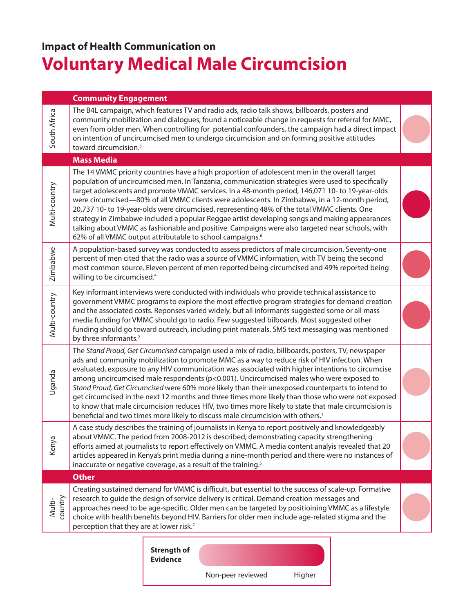## **Impact of Health Communication on Voluntary Medical Male Circumcision**

## **Community Engagement**

| South Africa      | The B4L campaign, which features TV and radio ads, radio talk shows, billboards, posters and<br>community mobilization and dialogues, found a noticeable change in requests for referral for MMC,<br>even from older men. When controlling for potential confounders, the campaign had a direct impact<br>on intention of uncircumcised men to undergo circumcision and on forming positive attitudes<br>toward circumcision. <sup>3</sup>                                                                                                                                                                                                                                                                                                                                                                           |  |  |  |
|-------------------|----------------------------------------------------------------------------------------------------------------------------------------------------------------------------------------------------------------------------------------------------------------------------------------------------------------------------------------------------------------------------------------------------------------------------------------------------------------------------------------------------------------------------------------------------------------------------------------------------------------------------------------------------------------------------------------------------------------------------------------------------------------------------------------------------------------------|--|--|--|
|                   | <b>Mass Media</b>                                                                                                                                                                                                                                                                                                                                                                                                                                                                                                                                                                                                                                                                                                                                                                                                    |  |  |  |
| Multi-country     | The 14 VMMC priority countries have a high proportion of adolescent men in the overall target<br>population of uncircumcised men. In Tanzania, communication strategies were used to specifically<br>target adolescents and promote VMMC services. In a 48-month period, 146,071 10- to 19-year-olds<br>were circumcised—80% of all VMMC clients were adolescents. In Zimbabwe, in a 12-month period,<br>20,737 10- to 19-year-olds were circumcised, representing 48% of the total VMMC clients. One<br>strategy in Zimbabwe included a popular Reggae artist developing songs and making appearances<br>talking about VMMC as fashionable and positive. Campaigns were also targeted near schools, with<br>62% of all VMMC output attributable to school campaigns. <sup>6</sup>                                   |  |  |  |
| Zimbabwe          | A population-based survey was conducted to assess predictors of male circumcision. Seventy-one<br>percent of men cited that the radio was a source of VMMC information, with TV being the second<br>most common source. Eleven percent of men reported being circumcised and 49% reported being<br>willing to be circumcised. <sup>4</sup>                                                                                                                                                                                                                                                                                                                                                                                                                                                                           |  |  |  |
| Multi-country     | Key informant interviews were conducted with individuals who provide technical assistance to<br>government VMMC programs to explore the most effective program strategies for demand creation<br>and the associated costs. Reponses varied widely, but all informants suggested some or all mass<br>media funding for VMMC should go to radio. Few suggested bilboards. Most suggested other<br>funding should go toward outreach, including print materials. SMS text messaging was mentioned<br>by three informants. <sup>2</sup>                                                                                                                                                                                                                                                                                  |  |  |  |
| Uganda            | The Stand Proud, Get Circumcised campaign used a mix of radio, billboards, posters, TV, newspaper<br>ads and community mobilization to promote MMC as a way to reduce risk of HIV infection. When<br>evaluated, exposure to any HIV communication was associated with higher intentions to circumcise<br>among uncircumcised male respondents ( $p<0.001$ ). Uncircumcised males who were exposed to<br>Stand Proud, Get Circumcised were 60% more likely than their unexposed counterparts to intend to<br>get circumcised in the next 12 months and three times more likely than those who were not exposed<br>to know that male circumcision reduces HIV, two times more likely to state that male circumcision is<br>beneficial and two times more likely to discuss male circumcision with others. <sup>1</sup> |  |  |  |
| Kenya             | A case study describes the training of journalists in Kenya to report positively and knowledgeably<br>about VMMC. The period from 2008-2012 is described, demonstrating capacity strengthening<br>efforts aimed at journalists to report effectively on VMMC. A media content analyis revealed that 20<br>articles appeared in Kenya's print media during a nine-month period and there were no instances of<br>inaccurate or negative coverage, as a result of the training. <sup>5</sup>                                                                                                                                                                                                                                                                                                                           |  |  |  |
|                   | <b>Other</b>                                                                                                                                                                                                                                                                                                                                                                                                                                                                                                                                                                                                                                                                                                                                                                                                         |  |  |  |
| Multi-<br>country | Creating sustained demand for VMMC is difficult, but essential to the success of scale-up. Formative<br>research to guide the design of service delivery is critical. Demand creation messages and<br>approaches need to be age-specific. Older men can be targeted by positioining VMMC as a lifestyle<br>choice with health benefits beyond HIV. Barriers for older men include age-related stigma and the<br>perception that they are at lower risk.7                                                                                                                                                                                                                                                                                                                                                             |  |  |  |
|                   |                                                                                                                                                                                                                                                                                                                                                                                                                                                                                                                                                                                                                                                                                                                                                                                                                      |  |  |  |